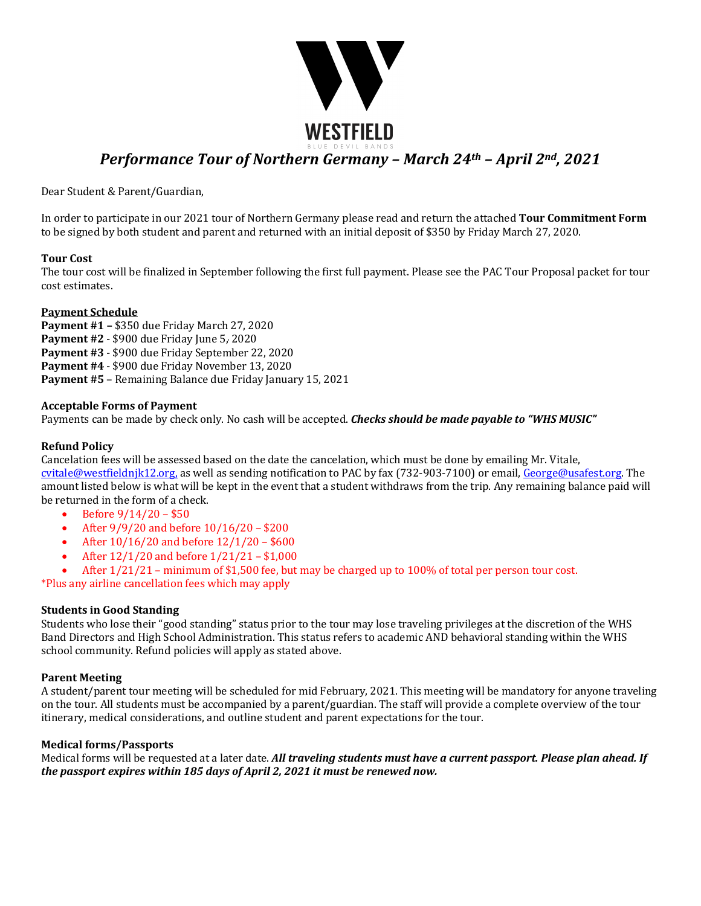

Dear Student & Parent/Guardian,

In order to participate in our 2021 tour of Northern Germany please read and return the attached **Tour Commitment Form** to be signed by both student and parent and returned with an initial deposit of \$350 by Friday March 27, 2020.

#### **Tour Cost**

The tour cost will be finalized in September following the first full payment. Please see the PAC Tour Proposal packet for tour cost estimates. 

#### **Payment Schedule**

**Payment #1 - \$350 due Friday March 27, 2020 Payment #2 - \$900 due Friday June 5, 2020 Payment #3** - \$900 due Friday September 22, 2020 **Payment #4 - \$900 due Friday November 13, 2020 Payment #5** – Remaining Balance due Friday January 15, 2021

#### **Acceptable Forms of Payment**

Payments can be made by check only. No cash will be accepted. *Checks should be made payable to "WHS MUSIC"* 

#### **Refund Policy**

Cancelation fees will be assessed based on the date the cancelation, which must be done by emailing Mr. Vitale,  $cvitale@westfieldnik12.org$ , as well as sending notification to PAC by fax (732-903-7100) or email,  $George@usafest.org$ . The amount listed below is what will be kept in the event that a student withdraws from the trip. Any remaining balance paid will be returned in the form of a check.

- Before  $9/14/20 $50$
- After  $9/9/20$  and before  $10/16/20 $200$
- After  $10/16/20$  and before  $12/1/20 $600$
- After  $12/1/20$  and before  $1/21/21 $1,000$
- After  $1/21/21$  minimum of \$1,500 fee, but may be charged up to 100% of total per person tour cost.

\*Plus any airline cancellation fees which may apply

#### **Students in Good Standing**

Students who lose their "good standing" status prior to the tour may lose traveling privileges at the discretion of the WHS Band Directors and High School Administration. This status refers to academic AND behavioral standing within the WHS school community. Refund policies will apply as stated above.

#### **Parent Meeting**

A student/parent tour meeting will be scheduled for mid February, 2021. This meeting will be mandatory for anyone traveling on the tour. All students must be accompanied by a parent/guardian. The staff will provide a complete overview of the tour itinerary, medical considerations, and outline student and parent expectations for the tour.

#### **Medical forms/Passports**

Medical forms will be requested at a later date. *All traveling students must have a current passport. Please plan ahead. If the passport expires within 185 days of April 2, 2021 it must be renewed now.*